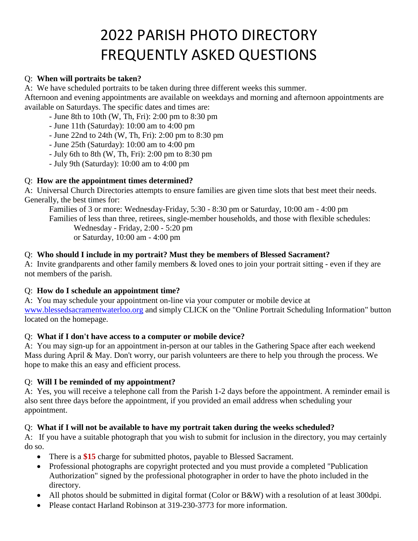# 2022 PARISH PHOTO DIRECTORY FREQUENTLY ASKED QUESTIONS

#### Q: **When will portraits be taken?**

A: We have scheduled portraits to be taken during three different weeks this summer.

Afternoon and evening appointments are available on weekdays and morning and afternoon appointments are available on Saturdays. The specific dates and times are:

- June 8th to 10th (W, Th, Fri): 2:00 pm to 8:30 pm

- June 11th (Saturday): 10:00 am to 4:00 pm

- June 22nd to 24th (W, Th, Fri): 2:00 pm to 8:30 pm

- June 25th (Saturday): 10:00 am to 4:00 pm

- July 6th to 8th (W, Th, Fri): 2:00 pm to 8:30 pm

- July 9th (Saturday): 10:00 am to 4:00 pm

# Q: **How are the appointment times determined?**

A: Universal Church Directories attempts to ensure families are given time slots that best meet their needs. Generally, the best times for:

Families of 3 or more: Wednesday-Friday, 5:30 - 8:30 pm or Saturday, 10:00 am - 4:00 pm Families of less than three, retirees, single-member households, and those with flexible schedules:

Wednesday - Friday, 2:00 - 5:20 pm

or Saturday, 10:00 am - 4:00 pm

# Q: **Who should I include in my portrait? Must they be members of Blessed Sacrament?**

A: Invite grandparents and other family members & loved ones to join your portrait sitting - even if they are not members of the parish.

# Q: **How do I schedule an appointment time?**

A: You may schedule your appointment on-line via your computer or mobile device at [www.blessedsacramentwaterloo.org](www.blessedsacramentwaterloo.org%20) and simply CLICK on the "Online Portrait Scheduling Information" button located on the homepage.

# Q: **What if I don't have access to a computer or mobile device?**

A: You may sign-up for an appointment in-person at our tables in the Gathering Space after each weekend Mass during April & May. Don't worry, our parish volunteers are there to help you through the process. We hope to make this an easy and efficient process.

# Q: **Will I be reminded of my appointment?**

A: Yes, you will receive a telephone call from the Parish 1-2 days before the appointment. A reminder email is also sent three days before the appointment, if you provided an email address when scheduling your appointment.

# Q: **What if I will not be available to have my portrait taken during the weeks scheduled?**

A: If you have a suitable photograph that you wish to submit for inclusion in the directory, you may certainly do so.

- There is a \$15 charge for submitted photos, payable to Blessed Sacrament.
- Professional photographs are copyright protected and you must provide a completed "Publication" Authorization" signed by the professional photographer in order to have the photo included in the directory.
- All photos should be submitted in digital format (Color or B&W) with a resolution of at least 300dpi.
- Please contact Harland Robinson at 319-230-3773 for more information.